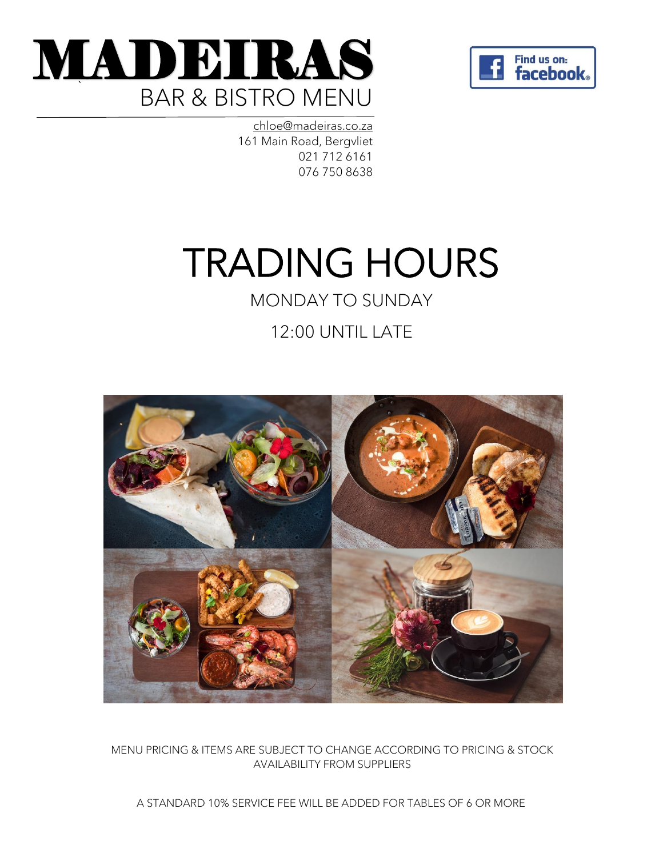



[chloe@madeiras.co.za](mailto:chloe@madeiras.co.za) 161 Main Road, Bergvliet 021 712 6161 076 750 8638

# TRADING HOURS

## MONDAY TO SUNDAY

12:00 UNTIL LATE



MENU PRICING & ITEMS ARE SUBJECT TO CHANGE ACCORDING TO PRICING & STOCK AVAILABILITY FROM SUPPLIERS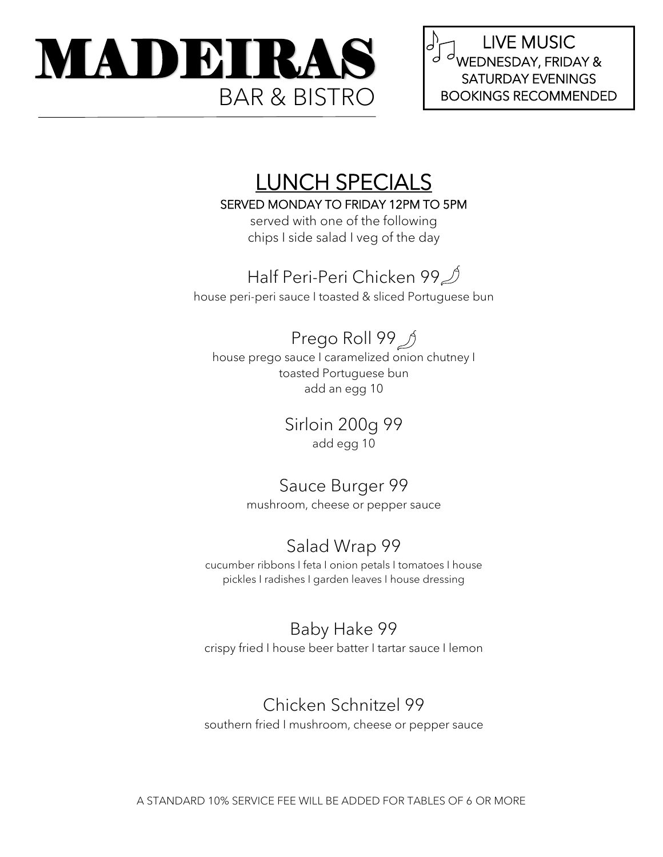

LIVE MUSIC 'J d WEDNESDAY, FRIDAY & SATURDAY EVENINGS

## LUNCH SPECIALS

SERVED MONDAY TO FRIDAY 12PM TO 5PM

served with one of the following chips I side salad I veg of the day

## Half Peri-Peri Chicken 99<sup>1</sup>

house peri-peri sauce I toasted & sliced Portuguese bun

## Prego Roll 99 *J*

house prego sauce I caramelized onion chutney I toasted Portuguese bun add an egg 10

Sirloin 200g 99

add egg 10

## Sauce Burger 99

mushroom, cheese or pepper sauce

## Salad Wrap 99

cucumber ribbons I feta I onion petals I tomatoes I house pickles I radishes I garden leaves I house dressing

## Baby Hake 99

crispy fried I house beer batter I tartar sauce I lemon

### Chicken Schnitzel 99

southern fried I mushroom, cheese or pepper sauce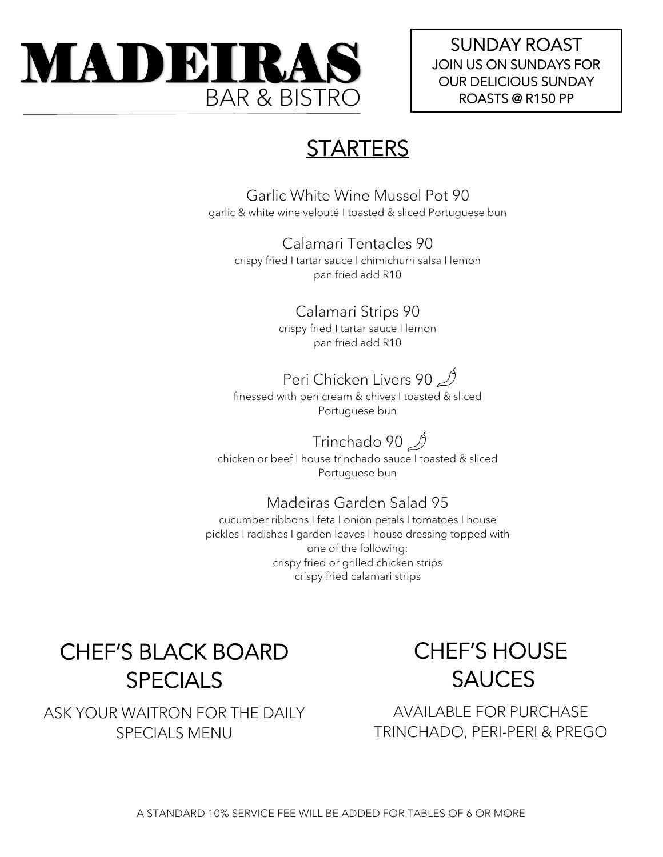

SUNDAY ROAST JOIN US ON SUNDAYS FOR OUR DELICIOUS SUNDAY

## **STARTERS**

Garlic White Wine Mussel Pot 90 garlic & white wine velouté I toasted & sliced Portuguese bun

Calamari Tentacles 90 crispy fried I tartar sauce l chimichurri salsa I lemon pan fried add R10

> Calamari Strips 90 crispy fried I tartar sauce I lemon pan fried add R10

## Peri Chicken Livers 90

finessed with peri cream & chives I toasted & sliced Portuguese bun

Trinchado 90  $\mathcal{D}$ 

chicken or beef I house trinchado sauce I toasted & sliced Portuguese bun

#### Madeiras Garden Salad 95

cucumber ribbons I feta I onion petals I tomatoes I house pickles I radishes I garden leaves I house dressing topped with one of the following: crispy fried or grilled chicken strips crispy fried calamari strips

CHEF'S BLACK BOARD SPECIALS

ASK YOUR WAITRON FOR THE DAILY SPECIALS MENU

## CHEF'S HOUSE SAUCES

AVAILABLE FOR PURCHASE TRINCHADO, PERI-PERI & PREGO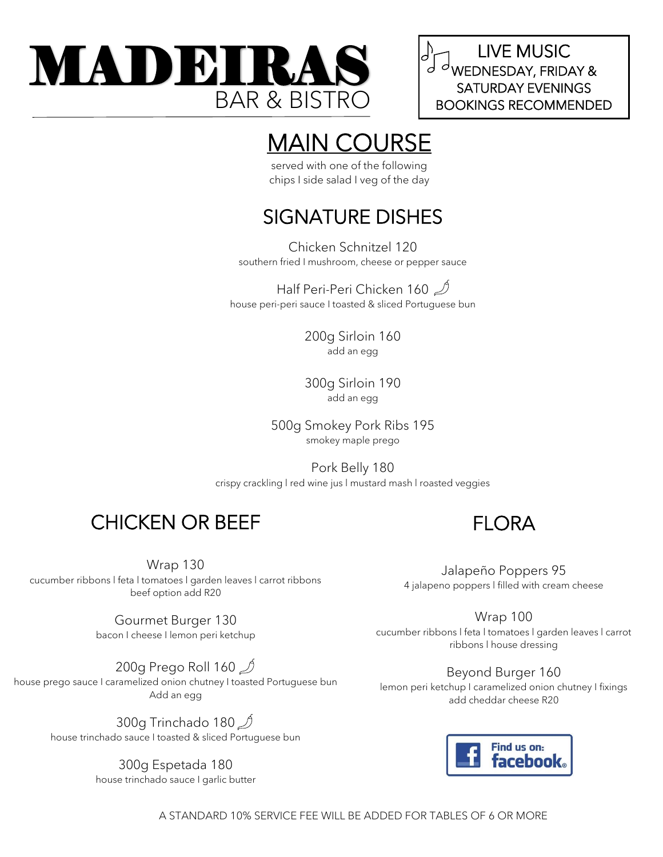

LIVE MUSIC  $\mathcal{A}$   $\mathcal{A}$  wednesday, friday & BOOKINGS RECOMMENDED

## MAIN COURSE

served with one of the following chips I side salad I veg of the day

#### SIGNATURE DISHES L<br>D

Chicken Schnitzel 120 southern fried I mushroom, cheese or pepper sauce

Half Peri-Peri Chicken 160  $\mathcal{D}$ house peri-peri sauce I toasted & sliced Portuguese bun

> 200g Sirloin 160 add an egg

> 300g Sirloin 190 add an egg

500g Smokey Pork Ribs 195 smokey maple prego

Pork Belly 180 crispy crackling l red wine jus l mustard mash l roasted veggies

## CHICKEN OR BEEF

Wrap 130 cucumber ribbons l feta l tomatoes l garden leaves l carrot ribbons beef option add R20

> Gourmet Burger 130 bacon I cheese I lemon peri ketchup

200g Prego Roll 160  $\mathcal{D}$ house prego sauce I caramelized onion chutney I toasted Portuguese bun Add an egg

> 300g Trinchado 180  $\mathcal{D}$ house trinchado sauce I toasted & sliced Portuguese bun

> > 300g Espetada 180 house trinchado sauce I garlic butter

FLORA

Jalapeño Poppers 95 4 jalapeno poppers l filled with cream cheese

Wrap 100 cucumber ribbons l feta l tomatoes l garden leaves l carrot ribbons l house dressing

Beyond Burger 160 lemon peri ketchup I caramelized onion chutney I fixings add cheddar cheese R20

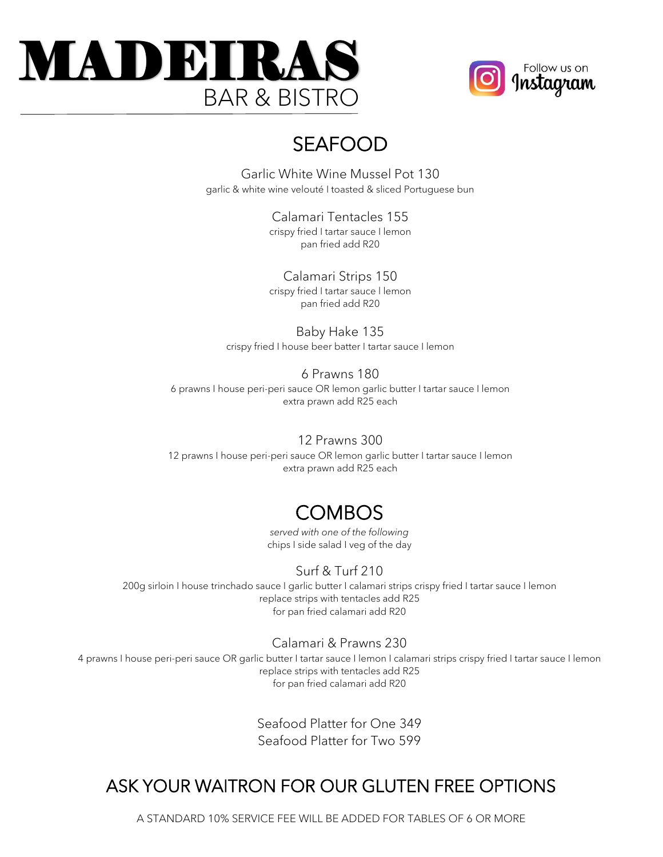



## SEAFOOD

Garlic White Wine Mussel Pot 130 garlic & white wine velouté I toasted & sliced Portuguese bun

> Calamari Tentacles 155 crispy fried I tartar sauce I lemon pan fried add R20

Calamari Strips 150 crispy fried I tartar sauce l lemon pan fried add R20

Baby Hake 135 crispy fried I house beer batter I tartar sauce I lemon

#### 6 Prawns 180

6 prawns I house peri-peri sauce OR lemon garlic butter I tartar sauce I lemon extra prawn add R25 each

#### 12 Prawns 300

12 prawns I house peri-peri sauce OR lemon garlic butter I tartar sauce I lemon extra prawn add R25 each

## **COMBOS**

*served with one of the following* chips I side salad I veg of the day

#### Surf & Turf 210

200g sirloin I house trinchado sauce I garlic butter I calamari strips crispy fried I tartar sauce I lemon replace strips with tentacles add R25 for pan fried calamari add R20

#### Calamari & Prawns 230

4 prawns I house peri-peri sauce OR garlic butter I tartar sauce I lemon I calamari strips crispy fried I tartar sauce I lemon replace strips with tentacles add R25 for pan fried calamari add R20

> Seafood Platter for One 349 Seafood Platter for Two 599

### ASK YOUR WAITRON FOR OUR GLUTEN FREE OPTIONS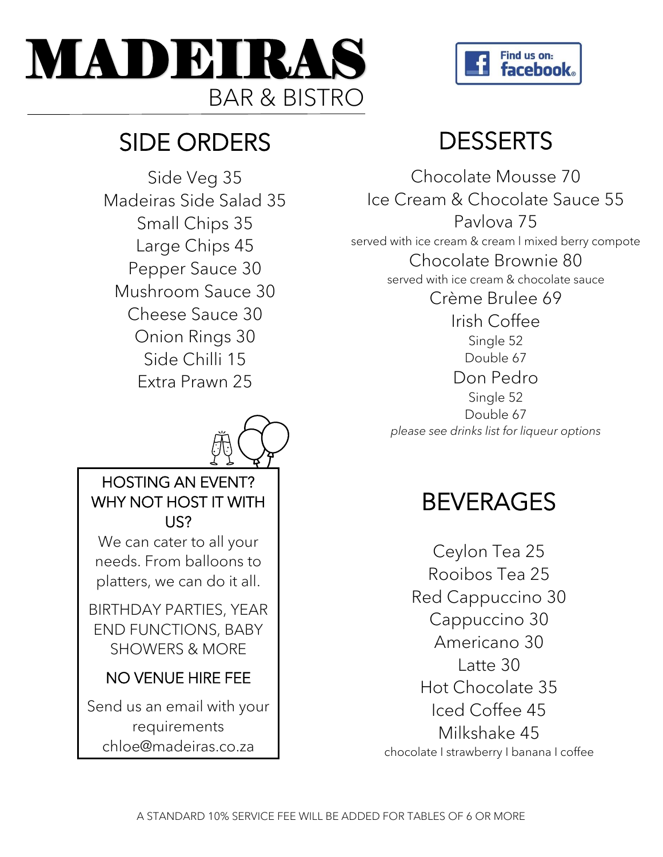



## SIDE ORDERS

Side Veg 35 Madeiras Side Salad 35 Small Chips 35 Large Chips 45 Pepper Sauce 30 Mushroom Sauce 30 Cheese Sauce 30 Onion Rings 30 Side Chilli 15 Extra Prawn 25



### HOSTING AN EVENT? WHY NOT HOST IT WITH US?

We can cater to all your needs. From balloons to platters, we can do it all.

BIRTHDAY PARTIES, YEAR END FUNCTIONS, BABY SHOWERS & MORE

### NO VENUE HIRE FEE

Send us an email with your requirements chloe@madeiras.co.za

## **DESSERTS**

Chocolate Mousse 70 Ice Cream & Chocolate Sauce 55 Pavlova 75 served with ice cream & cream l mixed berry compote Chocolate Brownie 80 served with ice cream & chocolate sauce Crème Brulee 69 Irish Coffee Single 52 Double 67 Don Pedro Single 52 Double 67 *please see drinks list for liqueur options*

## BEVERAGES

Ceylon Tea 25 Rooibos Tea 25 Red Cappuccino 30 Cappuccino 30 Americano 30 Latte 30 Hot Chocolate 35 Iced Coffee 45 Milkshake 45 chocolate I strawberry I banana I coffee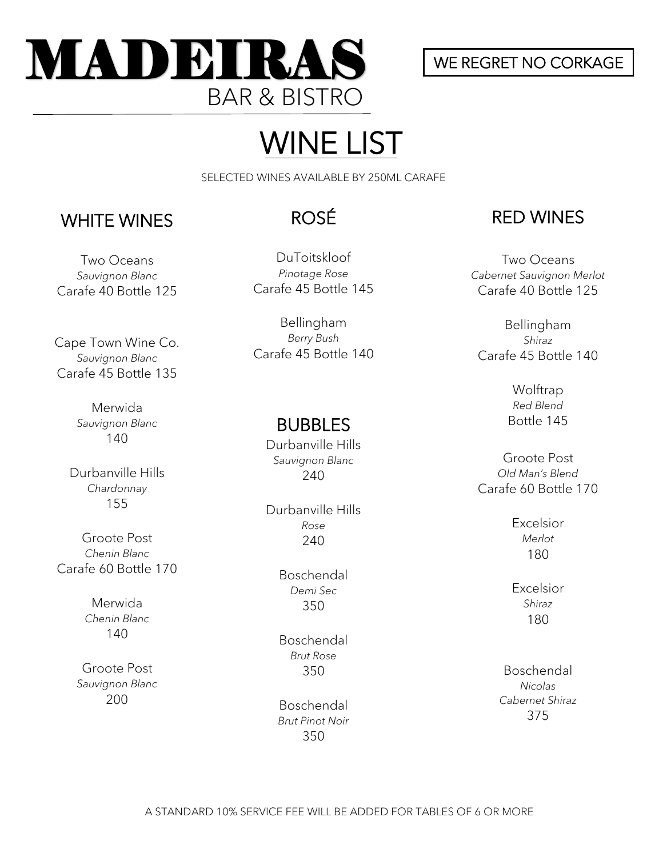

### WE REGRET NO CORKAGE

# WINE LIST

SELECTED WINES AVAILABLE BY 250ML CARAFE

### WHITE WINES

Two Oceans *Sauvignon Blanc* Carafe 40 Bottle 125

Cape Town Wine Co. *Sauvignon Blanc* Carafe 45 Bottle 135

> Merwida *Sauvignon Blanc* 140

Durbanville Hills *Chardonnay* 155

Groote Post *Chenin Blanc* Carafe 60 Bottle 170

> Merwida *Chenin Blanc* 140

Groote Post *Sauvignon Blanc* 200

## ROSÉ

DuToitskloof *Pinotage Rose* Carafe 45 Bottle 145

Bellingham *Berry Bush* Carafe 45 Bottle 140

### BUBBLES

Durbanville Hills *Sauvignon Blanc*  240

Ì Durbanville Hills *Rose* 240

> Boschendal *Demi Sec* 350

Boschendal *Brut Rose* 350

Boschendal *Brut Pinot Noir* 350

### RED WINES

Two Oceans *Cabernet Sauvignon Merlot* Carafe 40 Bottle 125

Bellingham *Shiraz* Carafe 45 Bottle 140

> Wolftrap *Red Blend* Bottle 145

Groote Post *Old Man's Blend* Carafe 60 Bottle 170

> Excelsior *Merlot* 180

> Excelsior *Shiraz* 180

Boschendal *Nicolas Cabernet Shiraz* 375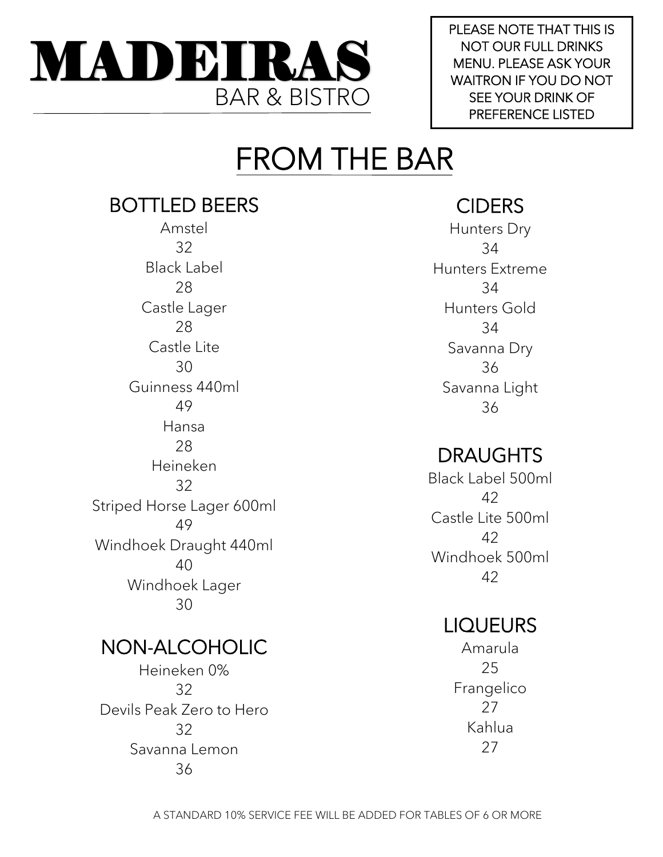

PLEASE NOTE THAT THIS IS NOT OUR FULL DRINKS MENU. PLEASE ASK YOUR WAITRON IF YOU DO NOT SEE YOUR DRINK OF PREFERENCE LISTED

# FROM THE BAR

## BOTTLED BEERS

Amstel 32 Black Label 28 Castle Lager 28 Castle Lite 30 Guinness 440ml 49 Hansa 28 Heineken 32 Striped Horse Lager 600ml 49 Windhoek Draught 440ml 40 Windhoek Lager 30

### NON-ALCOHOLIC

Heineken 0% 32 Devils Peak Zero to Hero 32 Savanna Lemon 36

## **CIDERS**

Hunters Dry 34 Hunters Extreme 34 Hunters Gold 34 Savanna Dry 36 Savanna Light 36

## DRAUGHTS

Black Label 500ml 42 Castle Lite 500ml 42 Windhoek 500ml 42

## LIQUEURS

Amarula 25 Frangelico 27 Kahlua 27